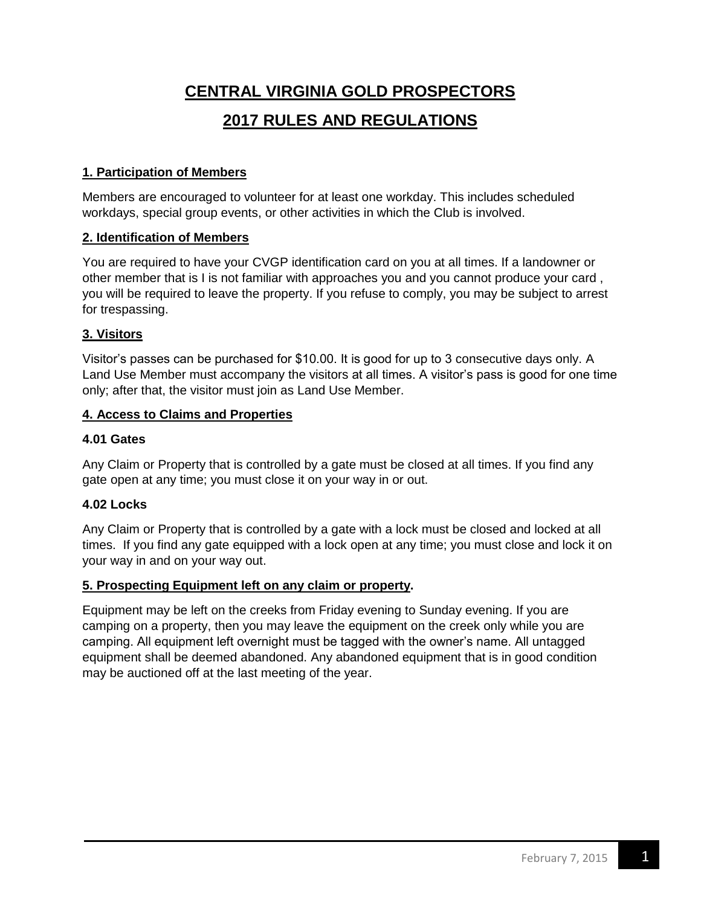# **CENTRAL VIRGINIA GOLD PROSPECTORS 2017 RULES AND REGULATIONS**

## **1. Participation of Members**

Members are encouraged to volunteer for at least one workday. This includes scheduled workdays, special group events, or other activities in which the Club is involved.

## **2. Identification of Members**

You are required to have your CVGP identification card on you at all times. If a landowner or other member that is I is not familiar with approaches you and you cannot produce your card , you will be required to leave the property. If you refuse to comply, you may be subject to arrest for trespassing.

## **3. Visitors**

Visitor's passes can be purchased for \$10.00. It is good for up to 3 consecutive days only. A Land Use Member must accompany the visitors at all times. A visitor's pass is good for one time only; after that, the visitor must join as Land Use Member.

## **4. Access to Claims and Properties**

## **4.01 Gates**

Any Claim or Property that is controlled by a gate must be closed at all times. If you find any gate open at any time; you must close it on your way in or out.

## **4.02 Locks**

Any Claim or Property that is controlled by a gate with a lock must be closed and locked at all times. If you find any gate equipped with a lock open at any time; you must close and lock it on your way in and on your way out.

## **5. Prospecting Equipment left on any claim or property.**

Equipment may be left on the creeks from Friday evening to Sunday evening. If you are camping on a property, then you may leave the equipment on the creek only while you are camping. All equipment left overnight must be tagged with the owner's name. All untagged equipment shall be deemed abandoned. Any abandoned equipment that is in good condition may be auctioned off at the last meeting of the year.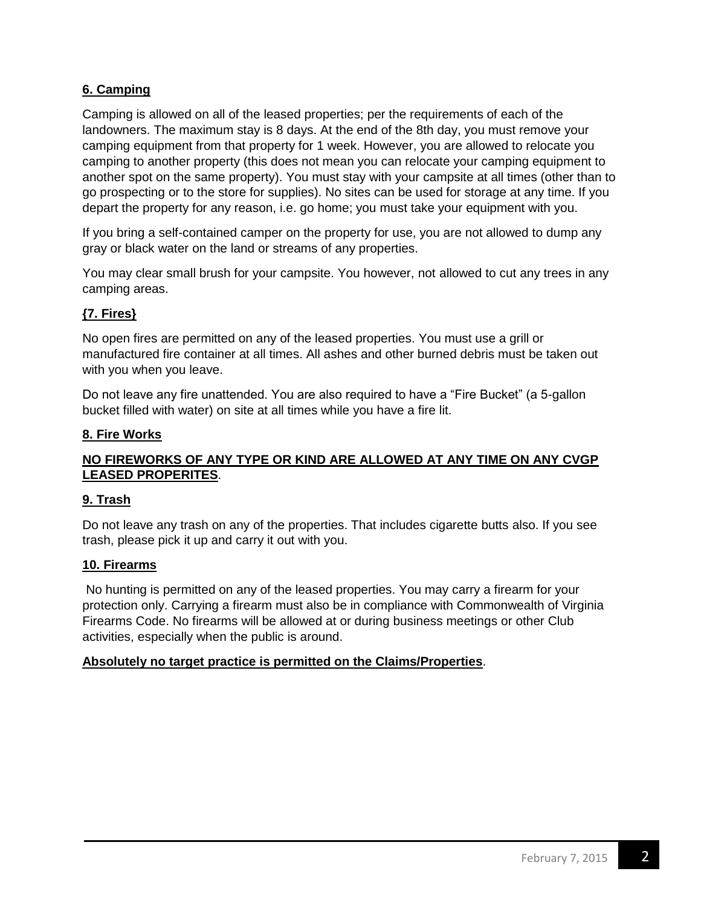## **6. Camping**

Camping is allowed on all of the leased properties; per the requirements of each of the landowners. The maximum stay is 8 days. At the end of the 8th day, you must remove your camping equipment from that property for 1 week. However, you are allowed to relocate you camping to another property (this does not mean you can relocate your camping equipment to another spot on the same property). You must stay with your campsite at all times (other than to go prospecting or to the store for supplies). No sites can be used for storage at any time. If you depart the property for any reason, i.e. go home; you must take your equipment with you.

If you bring a self-contained camper on the property for use, you are not allowed to dump any gray or black water on the land or streams of any properties.

You may clear small brush for your campsite. You however, not allowed to cut any trees in any camping areas.

## **{7. Fires}**

No open fires are permitted on any of the leased properties. You must use a grill or manufactured fire container at all times. All ashes and other burned debris must be taken out with you when you leave.

Do not leave any fire unattended. You are also required to have a "Fire Bucket" (a 5-gallon bucket filled with water) on site at all times while you have a fire lit.

## **8. Fire Works**

## **NO FIREWORKS OF ANY TYPE OR KIND ARE ALLOWED AT ANY TIME ON ANY CVGP LEASED PROPERITES**.

## **9. Trash**

Do not leave any trash on any of the properties. That includes cigarette butts also. If you see trash, please pick it up and carry it out with you.

## **10. Firearms**

No hunting is permitted on any of the leased properties. You may carry a firearm for your protection only. Carrying a firearm must also be in compliance with Commonwealth of Virginia Firearms Code. No firearms will be allowed at or during business meetings or other Club activities, especially when the public is around.

## **Absolutely no target practice is permitted on the Claims/Properties**.